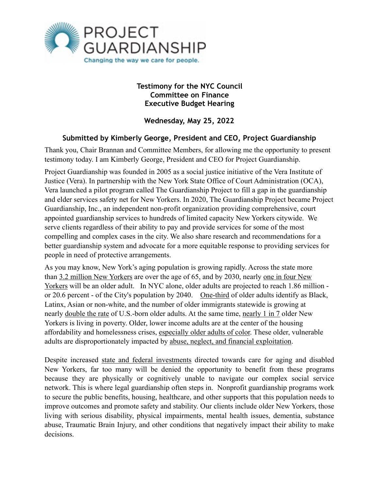

## **Testimony for the NYC Council Committee on Finance Executive Budget Hearing**

**Wednesday, May 25, 2022** 

## **Submitted by Kimberly George, President and CEO, Project Guardianship**

Thank you, Chair Brannan and Committee Members, for allowing me the opportunity to present testimony today. I am Kimberly George, President and CEO for Project Guardianship.

Project Guardianship was founded in 2005 as a social justice initiative of the Vera Institute of Justice (Vera). In partnership with the New York State Office of Court Administration (OCA), Vera launched a pilot program called The Guardianship Project to fill a gap in the guardianship and elder services safety net for New Yorkers. In 2020, The Guardianship Project became Project Guardianship, Inc., an independent non-profit organization providing comprehensive, court appointed guardianship services to hundreds of limited capacity New Yorkers citywide. We serve clients regardless of their ability to pay and provide services for some of the most compelling and complex cases in the city. We also share research and recommendations for a better guardianship system and advocate for a more equitable response to providing services for people in need of protective arrangements.

As you may know, New York's aging population is growing rapidly. Across the state more [than 3](https://static1.squarespace.com/static/562a3197e4b0493d4ffd3105/t/59c3d1d5c534a53f59e153b2/1506005471796/CombinedFilesLiveOnNY_02.01.2017+FINAL+TO+SEND.pdf)[.2 million New Yorkers](https://nycfuture.org/research/new-yorks-older-adult-population-is-booming-statewide) [are over the age of 65, and by 2030, nearly one in four New](https://static1.squarespace.com/static/562a3197e4b0493d4ffd3105/t/59c3d1d5c534a53f59e153b2/1506005471796/CombinedFilesLiveOnNY_02.01.2017+FINAL+TO+SEND.pdf)  Yorkers will be an older adult. In NYC alone, older adults are projected to reach 1.86 million - or 20.6 percent - of the City's population by 2040. [One-third](https://nycfuture.org/research/new-yorks-older-adult-population-is-booming-statewide) of older adults identify as Black, Latinx, Asian or non-white, and the number of older immigrants statewide is growing at nearly [double the rate](https://nycfuture.org/research/new-yorks-older-adult-population-is-booming-statewide) of U.S.-born older adults. At the same time, [nearly 1 in 7](https://nycfuture.org/research/new-yorks-older-adult-population-is-booming-statewide) older New Yorkers is living in poverty. Older, lower income adults are at the center of the housing affordability and homelessness crises, [especially older adults of color](https://justiceinaging.org/wp-content/uploads/2021/02/Older-Adults-Rental-Housing-Burdens.pdf). These older, vulnerable adults are disproportionately impacted by [abuse, neglect, and financial exploitation.](https://www1.nyc.gov/assets/dfta/downloads/pdf/reports/UndertheRadar2011.pdf)

Despite increased [state and federal investments](https://www.governor.ny.gov/news/governor-hochul-announces-149-million-direct-community-support-distributed-aging-new-yorkers) directed towards care for aging and disabled New Yorkers, far too many will be denied the opportunity to benefit from these programs because they are physically or cognitively unable to navigate our complex social service network. This is where legal guardianship often steps in. Nonprofit guardianship programs work to secure the public benefits, housing, healthcare, and other supports that this population needs to improve outcomes and promote safety and stability. Our clients include older New Yorkers, those living with serious disability, physical impairments, mental health issues, dementia, substance abuse, Traumatic Brain Injury, and other conditions that negatively impact their ability to make decisions.